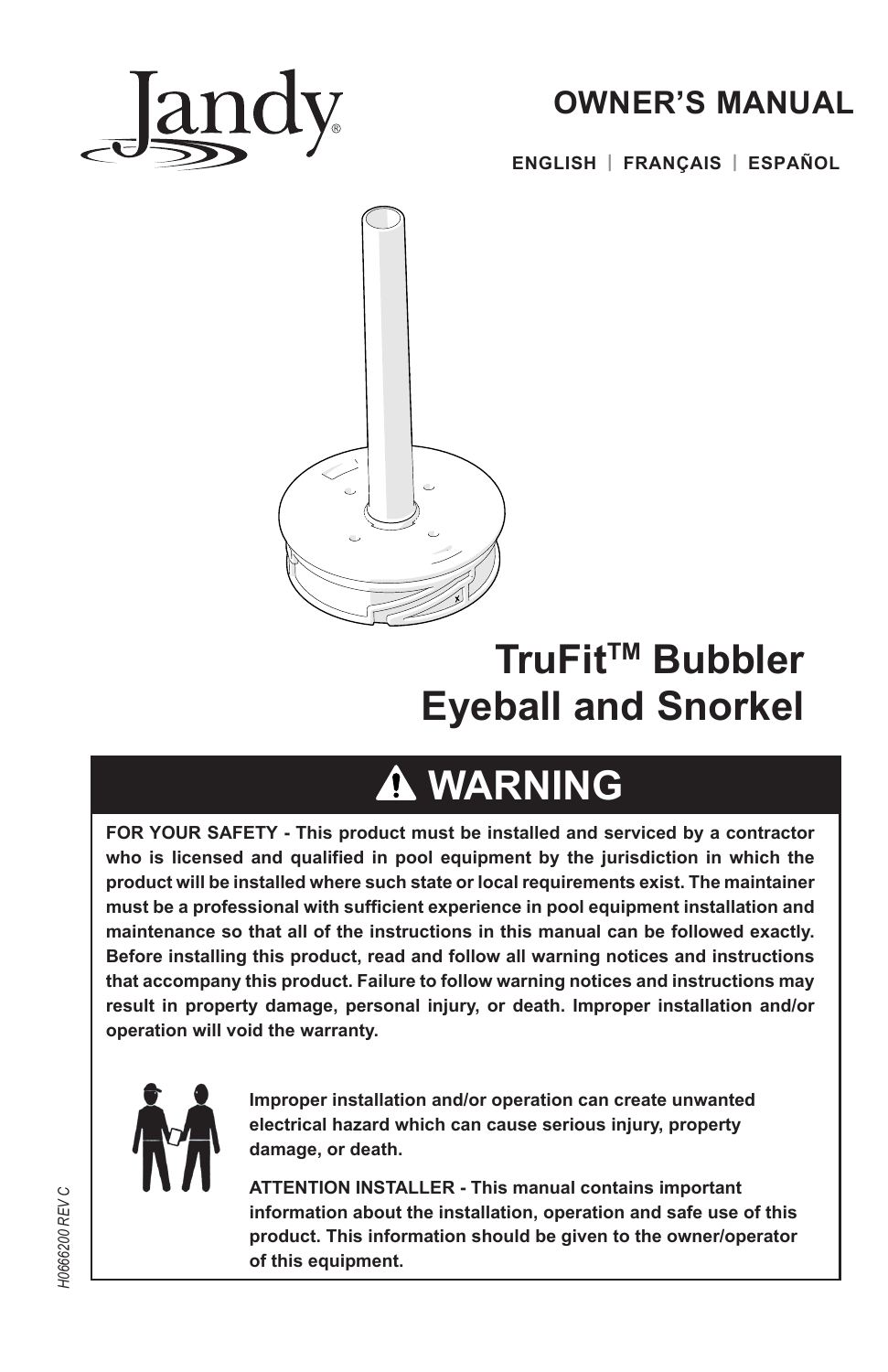

## **OWNER'S MANUAL**

**ENGLISH | FRANÇAIS | ESPAÑOL**



# **TruFit™ Bubbler Eyeball and Snorkel**

# **WARNING**

**FOR YOUR SAFETY - This product must be installed and serviced by a contractor who is licensed and qualified in pool equipment by the jurisdiction in which the product will be installed where such state or local requirements exist. The maintainer must be a professional with sufficient experience in pool equipment installation and maintenance so that all of the instructions in this manual can be followed exactly. Before installing this product, read and follow all warning notices and instructions that accompany this product. Failure to follow warning notices and instructions may result in property damage, personal injury, or death. Improper installation and/or operation will void the warranty.**



**Improper installation and/or operation can create unwanted electrical hazard which can cause serious injury, property damage, or death.** 

**ATTENTION INSTALLER - This manual contains important information about the installation, operation and safe use of this product. This information should be given to the owner/operator of this equipment.**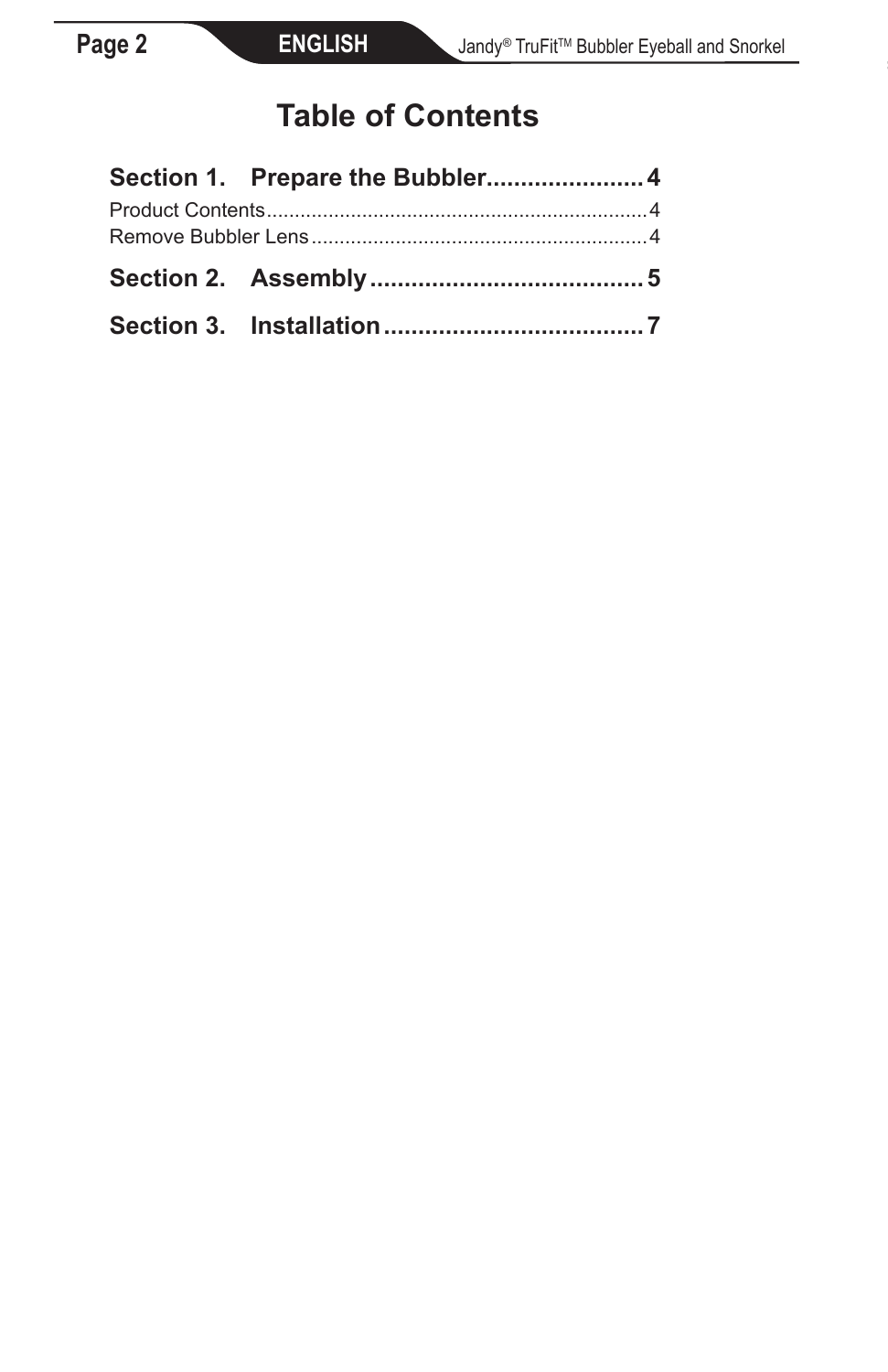# **Table of Contents**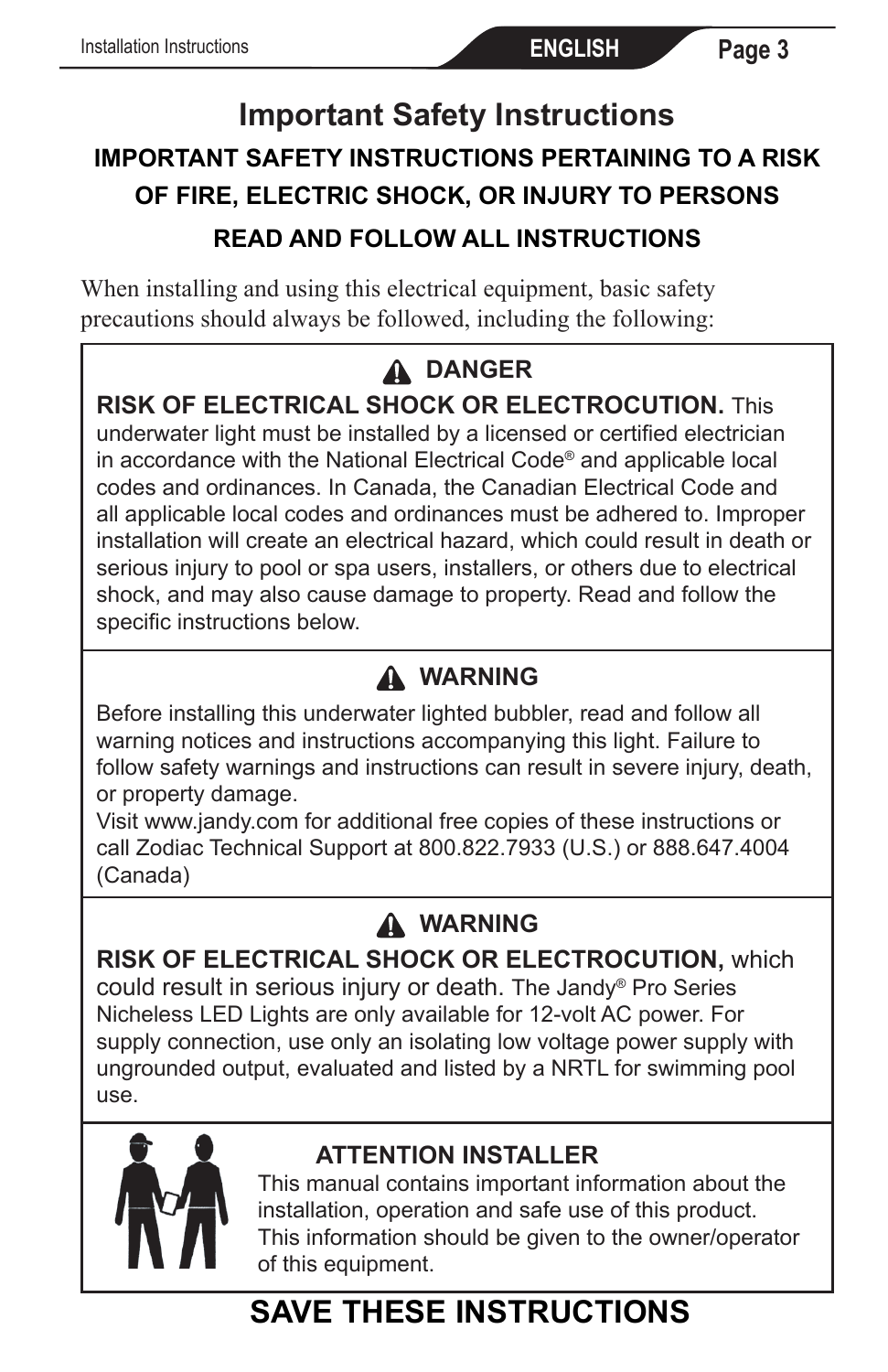## **Important Safety Instructions IMPORTANT SAFETY INSTRUCTIONS PERTAINING TO A RISK OF FIRE, ELECTRIC SHOCK, OR INJURY TO PERSONS READ AND FOLLOW ALL INSTRUCTIONS**

When installing and using this electrical equipment, basic safety precautions should always be followed, including the following:

## **DANGER**

**RISK OF ELECTRICAL SHOCK OR ELECTROCUTION.** This

underwater light must be installed by a licensed or certified electrician in accordance with the National Electrical Code® and applicable local codes and ordinances. In Canada, the Canadian Electrical Code and all applicable local codes and ordinances must be adhered to. Improper installation will create an electrical hazard, which could result in death or serious injury to pool or spa users, installers, or others due to electrical shock, and may also cause damage to property. Read and follow the specific instructions below.

## **WARNING**

Before installing this underwater lighted bubbler, read and follow all warning notices and instructions accompanying this light. Failure to follow safety warnings and instructions can result in severe injury, death, or property damage.

Visit www.jandy.com for additional free copies of these instructions or call Zodiac Technical Support at 800.822.7933 (U.S.) or 888.647.4004 (Canada)

### **WARNING**

**RISK OF ELECTRICAL SHOCK OR ELECTROCUTION,** which could result in serious injury or death. The Jandy® Pro Series Nicheless LED Lights are only available for 12-volt AC power. For supply connection, use only an isolating low voltage power supply with ungrounded output, evaluated and listed by a NRTL for swimming pool use.



### **ATTENTION INSTALLER**

This manual contains important information about the installation, operation and safe use of this product. This information should be given to the owner/operator of this equipment.

# **SAVE THESE INSTRUCTIONS**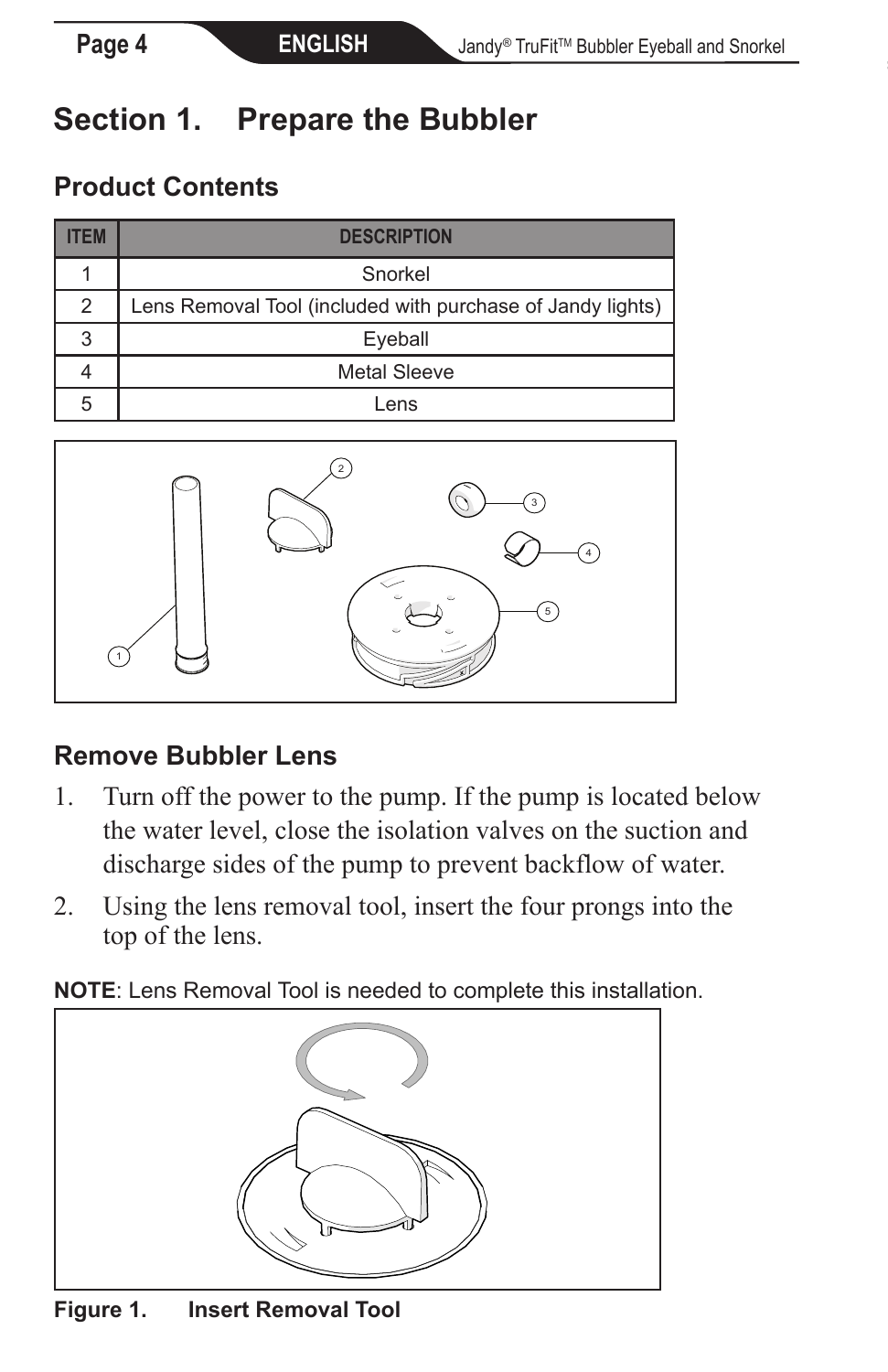# **Section 1. Prepare the Bubbler**

### **Product Contents**

| ΕM | <b>DESCRIPTION</b>                                         |
|----|------------------------------------------------------------|
|    | Snorkel                                                    |
| 2  | Lens Removal Tool (included with purchase of Jandy lights) |
| 3  | Eyeball                                                    |
|    | <b>Metal Sleeve</b>                                        |
| 5  | l ens                                                      |



### **Remove Bubbler Lens**

- 1. Turn off the power to the pump. If the pump is located below the water level, close the isolation valves on the suction and discharge sides of the pump to prevent backflow of water.
- 2. Using the lens removal tool, insert the four prongs into the top of the lens.

**NOTE**: Lens Removal Tool is needed to complete this installation.



**Figure 1. Insert Removal Tool**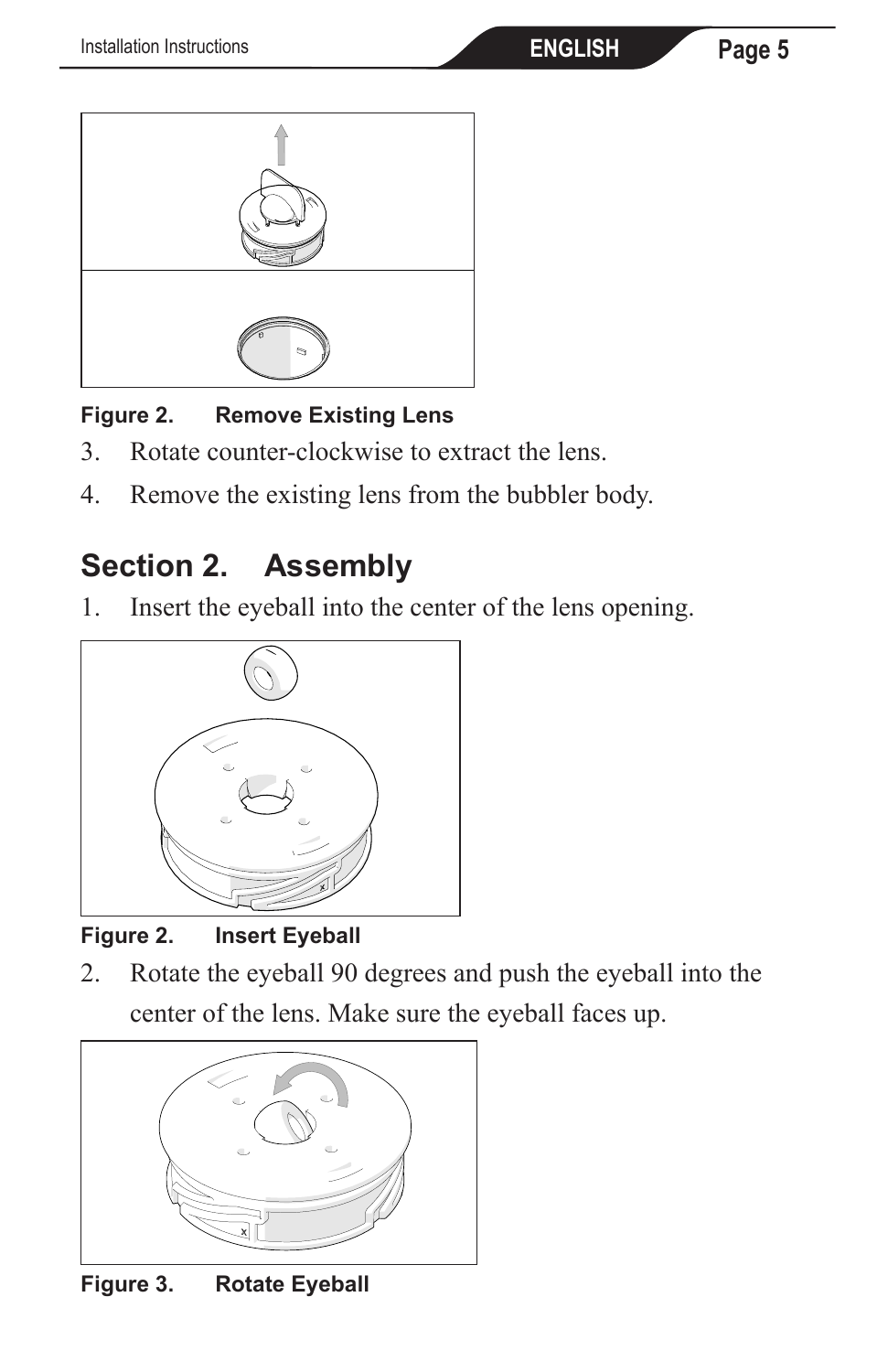

#### **Figure 2. Remove Existing Lens**

- 3. Rotate counter-clockwise to extract the lens.
- 4. Remove the existing lens from the bubbler body.

# **Section 2. Assembly**

1. Insert the eyeball into the center of the lens opening.



**Figure 2. Insert Eyeball**

2. Rotate the eyeball 90 degrees and push the eyeball into the center of the lens. Make sure the eyeball faces up.



**Figure 3. Rotate Eyeball**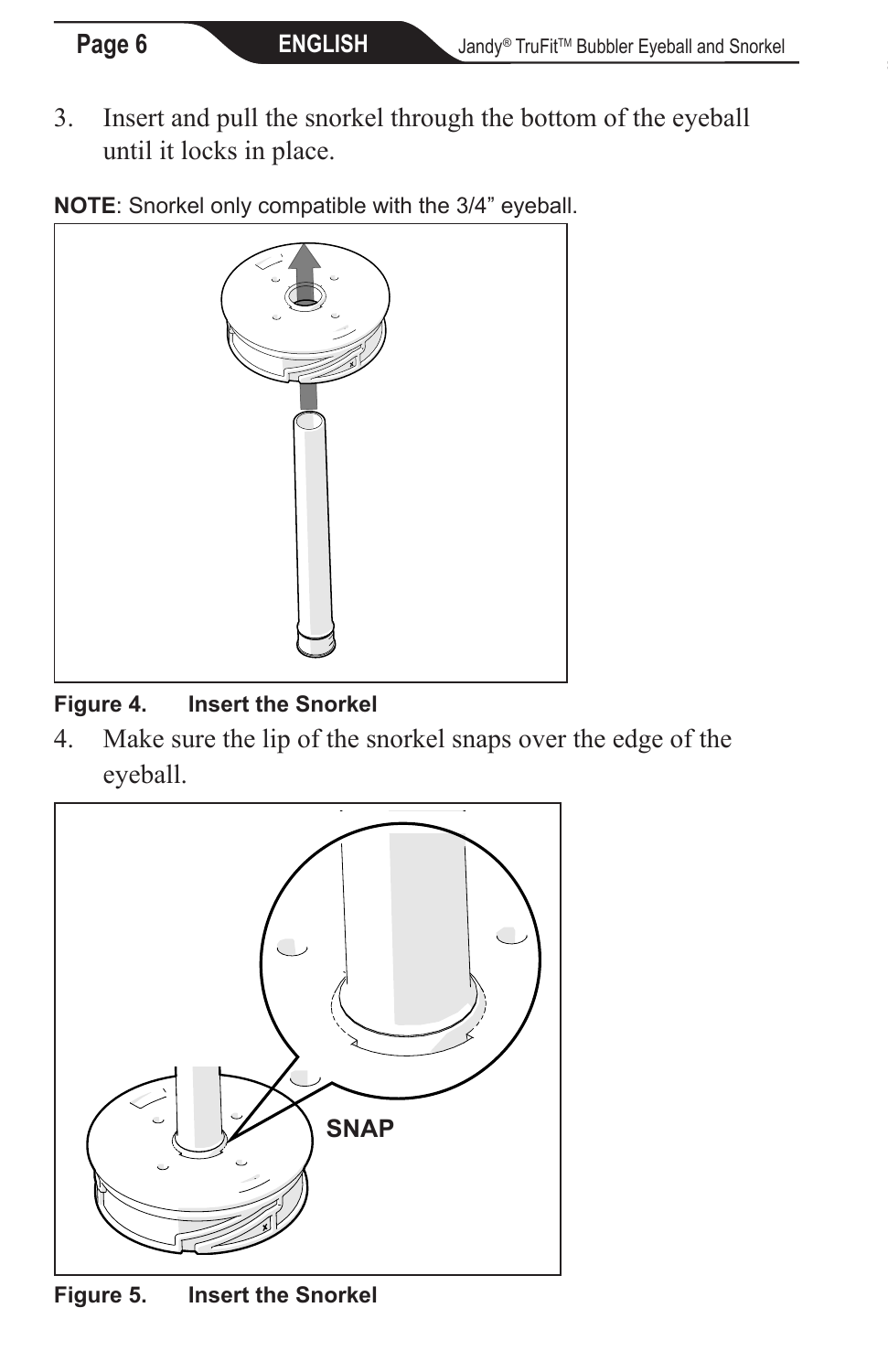3. Insert and pull the snorkel through the bottom of the eyeball until it locks in place.

**NOTE**: Snorkel only compatible with the 3/4" eyeball.



#### **Figure 4. Insert the Snorkel**

4. Make sure the lip of the snorkel snaps over the edge of the eyeball.



**Figure 5. Insert the Snorkel**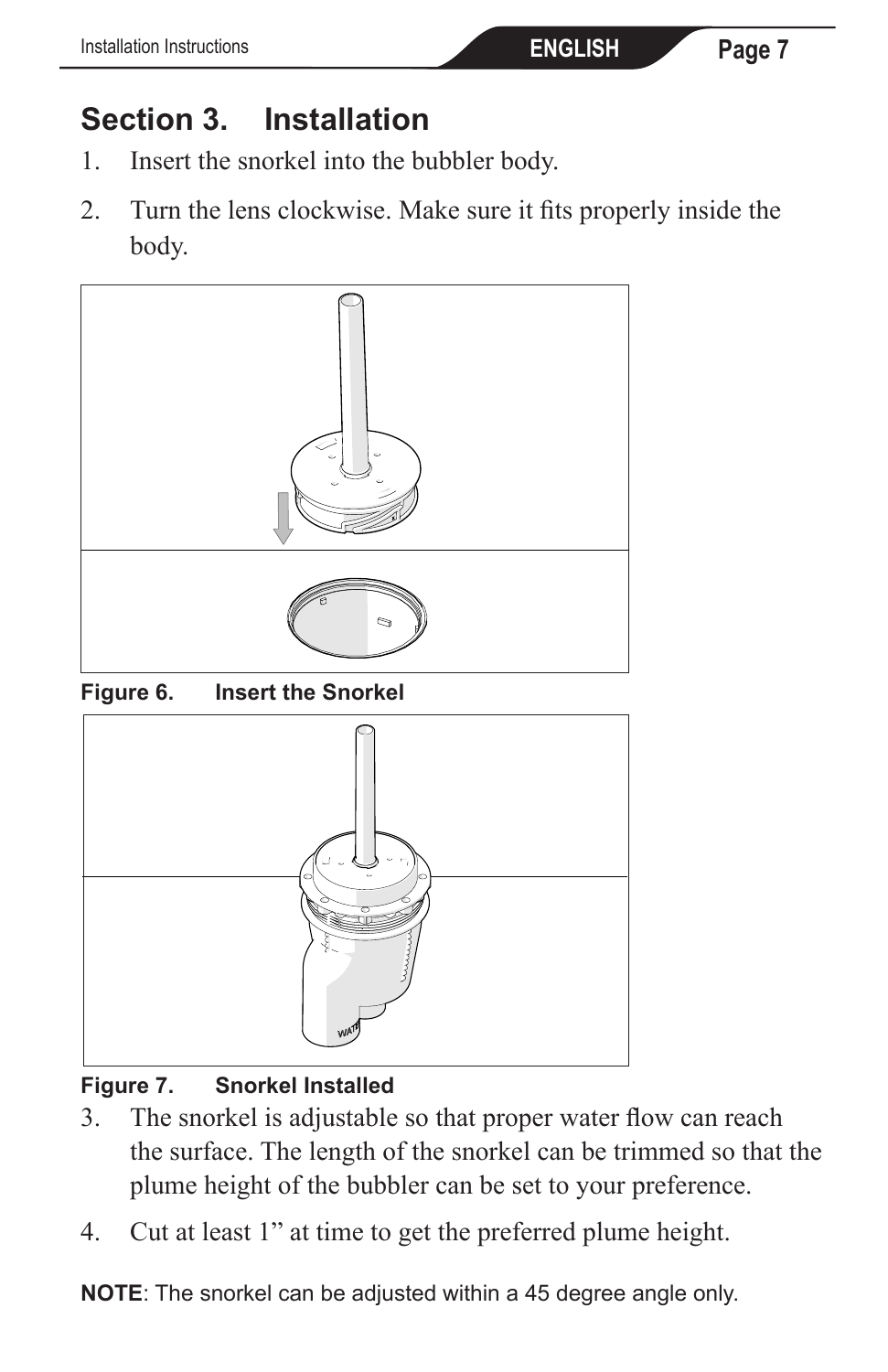# **Section 3. Installation**

- 1. Insert the snorkel into the bubbler body.
- 2. Turn the lens clockwise. Make sure it fits properly inside the body.





### **Figure 7. Snorkel Installed**

- 3. The snorkel is adjustable so that proper water flow can reach the surface. The length of the snorkel can be trimmed so that the plume height of the bubbler can be set to your preference.
- 4. Cut at least 1" at time to get the preferred plume height.

**NOTE**: The snorkel can be adjusted within a 45 degree angle only.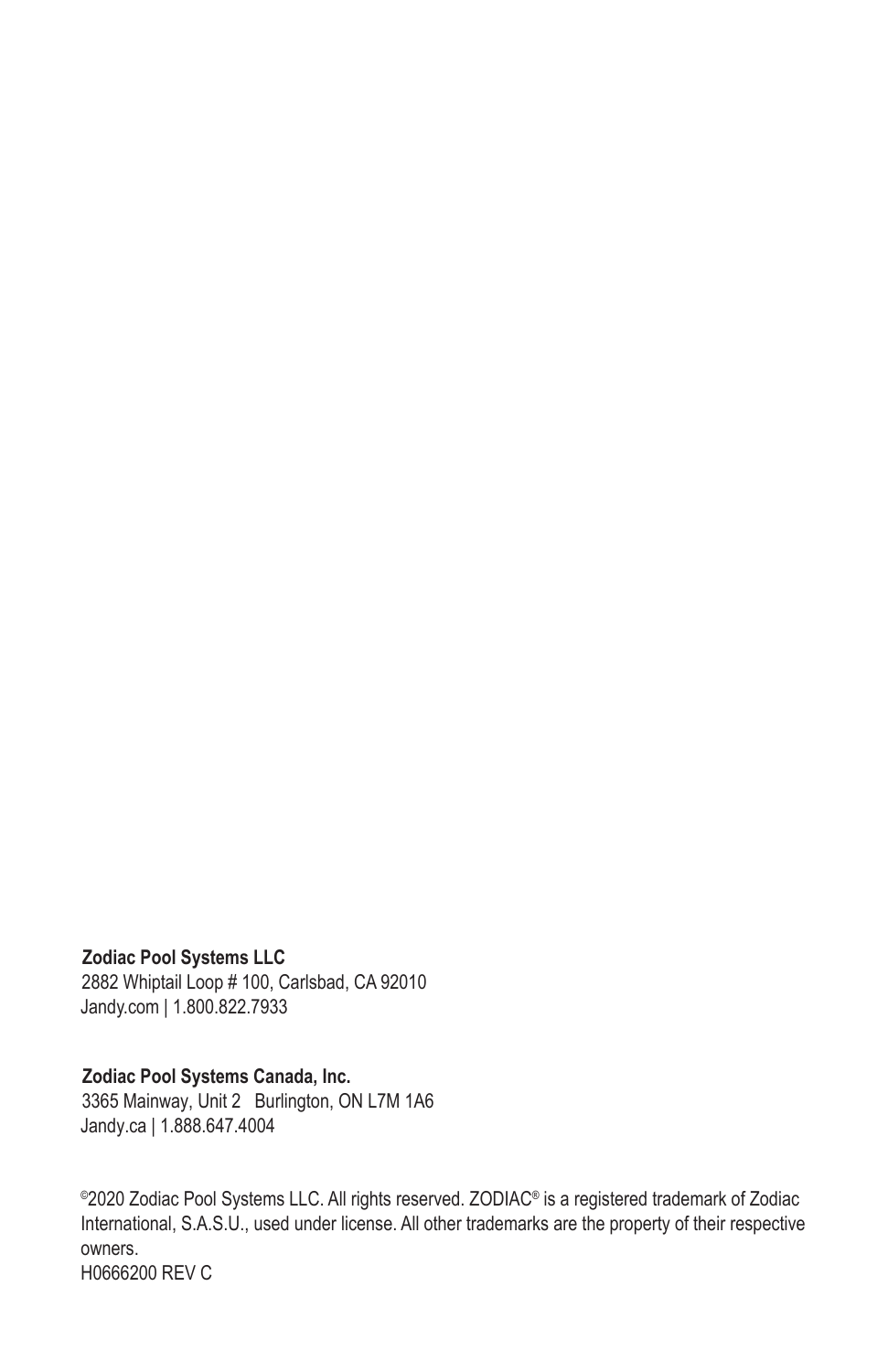#### **Zodiac Pool Systems LLC**

2882 Whiptail Loop # 100, Carlsbad, CA 92010 Jandy.com | 1.800.822.7933

#### **Zodiac Pool Systems Canada, Inc.**

3365 Mainway, Unit 2 Burlington, ON L7M 1A6 Jandy.ca | 1.888.647.4004

©2020 Zodiac Pool Systems LLC. All rights reserved. ZODIAC® is a registered trademark of Zodiac International, S.A.S.U., used under license. All other trademarks are the property of their respective owners. H0666200 REV C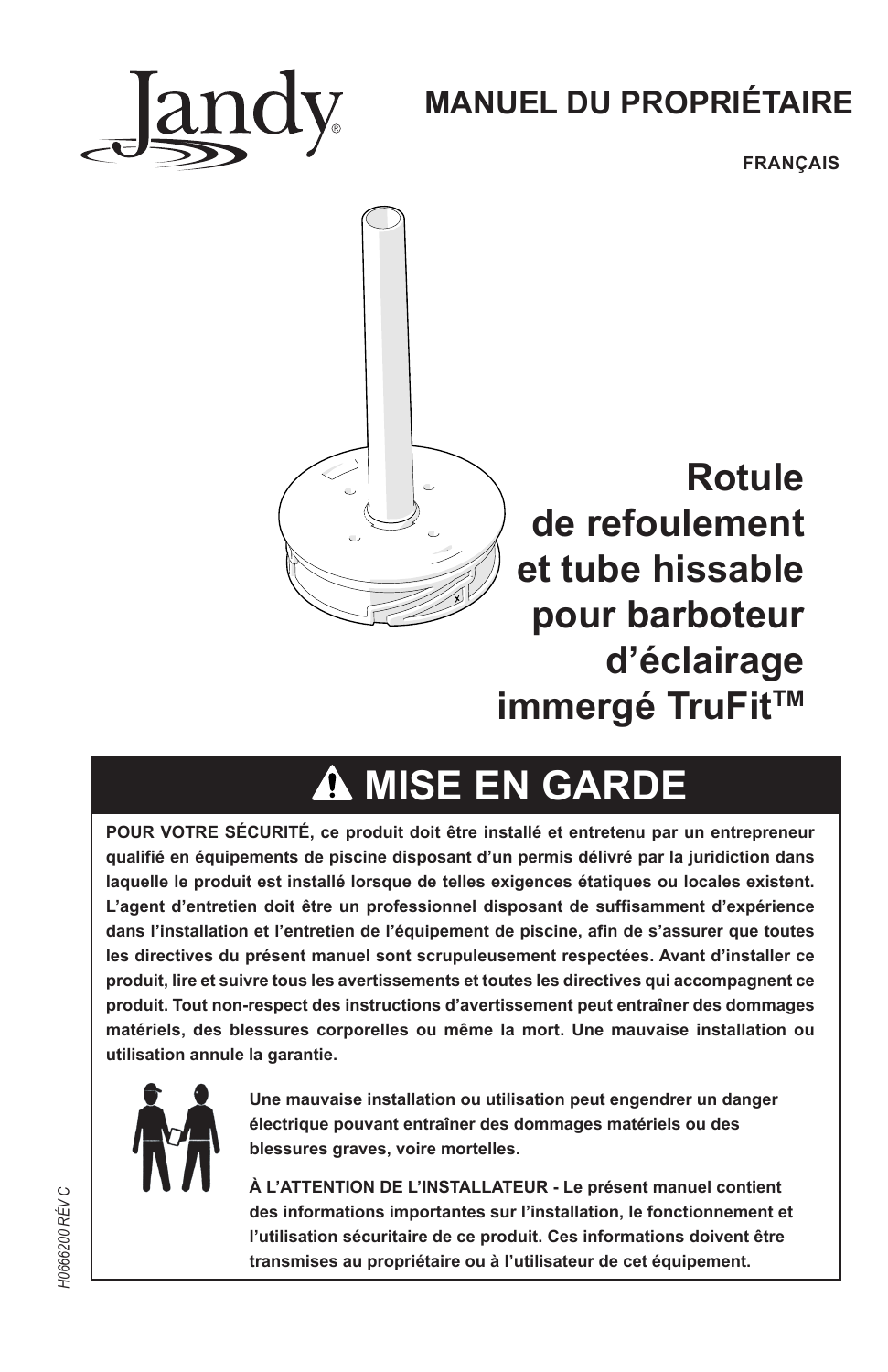

# **MANUEL DU PROPRIÉTAIRE**

**FRANÇAIS** 



**Rotule de refoulement et tube hissable pour barboteur d'éclairage immergé TruFit™** 

# **MISE EN GARDE**

**POUR VOTRE SÉCURITÉ, ce produit doit être installé et entretenu par un entrepreneur qualifié en équipements de piscine disposant d'un permis délivré par la juridiction dans laquelle le produit est installé lorsque de telles exigences étatiques ou locales existent. L'agent d'entretien doit être un professionnel disposant de suffisamment d'expérience dans l'installation et l'entretien de l'équipement de piscine, afin de s'assurer que toutes les directives du présent manuel sont scrupuleusement respectées. Avant d'installer ce produit, lire et suivre tous les avertissements et toutes les directives qui accompagnent ce produit. Tout non-respect des instructions d'avertissement peut entraîner des dommages matériels, des blessures corporelles ou même la mort. Une mauvaise installation ou utilisation annule la garantie.**



**Une mauvaise installation ou utilisation peut engendrer un danger électrique pouvant entraîner des dommages matériels ou des blessures graves, voire mortelles.** 

**À L'ATTENTION DE L'INSTALLATEUR - Le présent manuel contient des informations importantes sur l'installation, le fonctionnement et l'utilisation sécuritaire de ce produit. Ces informations doivent être transmises au propriétaire ou à l'utilisateur de cet équipement.**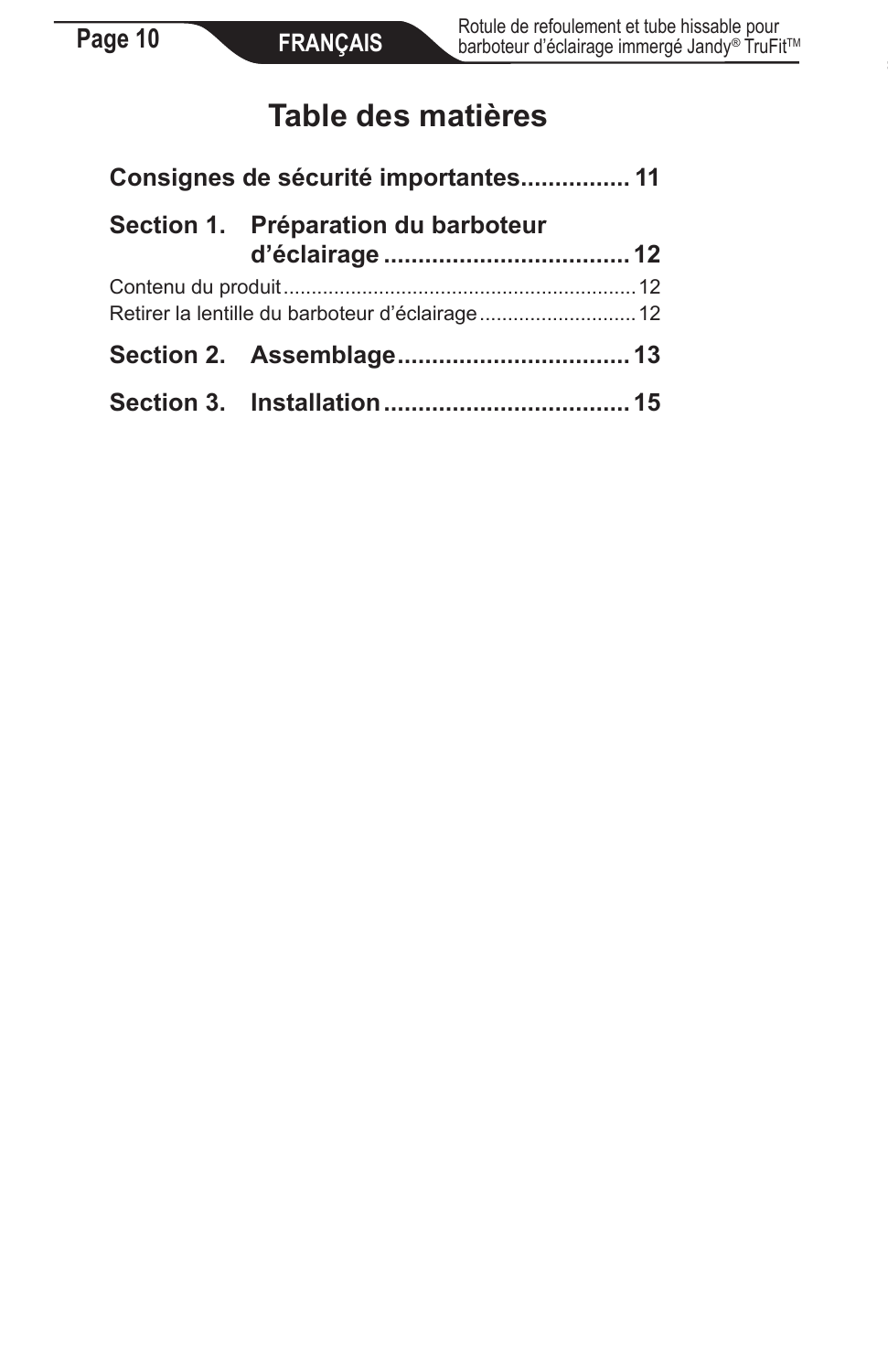## **Table des matières**

| Consignes de sécurité importantes 11 |                                                 |  |
|--------------------------------------|-------------------------------------------------|--|
|                                      | Section 1. Préparation du barboteur             |  |
|                                      | Retirer la lentille du barboteur d'éclairage 12 |  |
|                                      |                                                 |  |
|                                      |                                                 |  |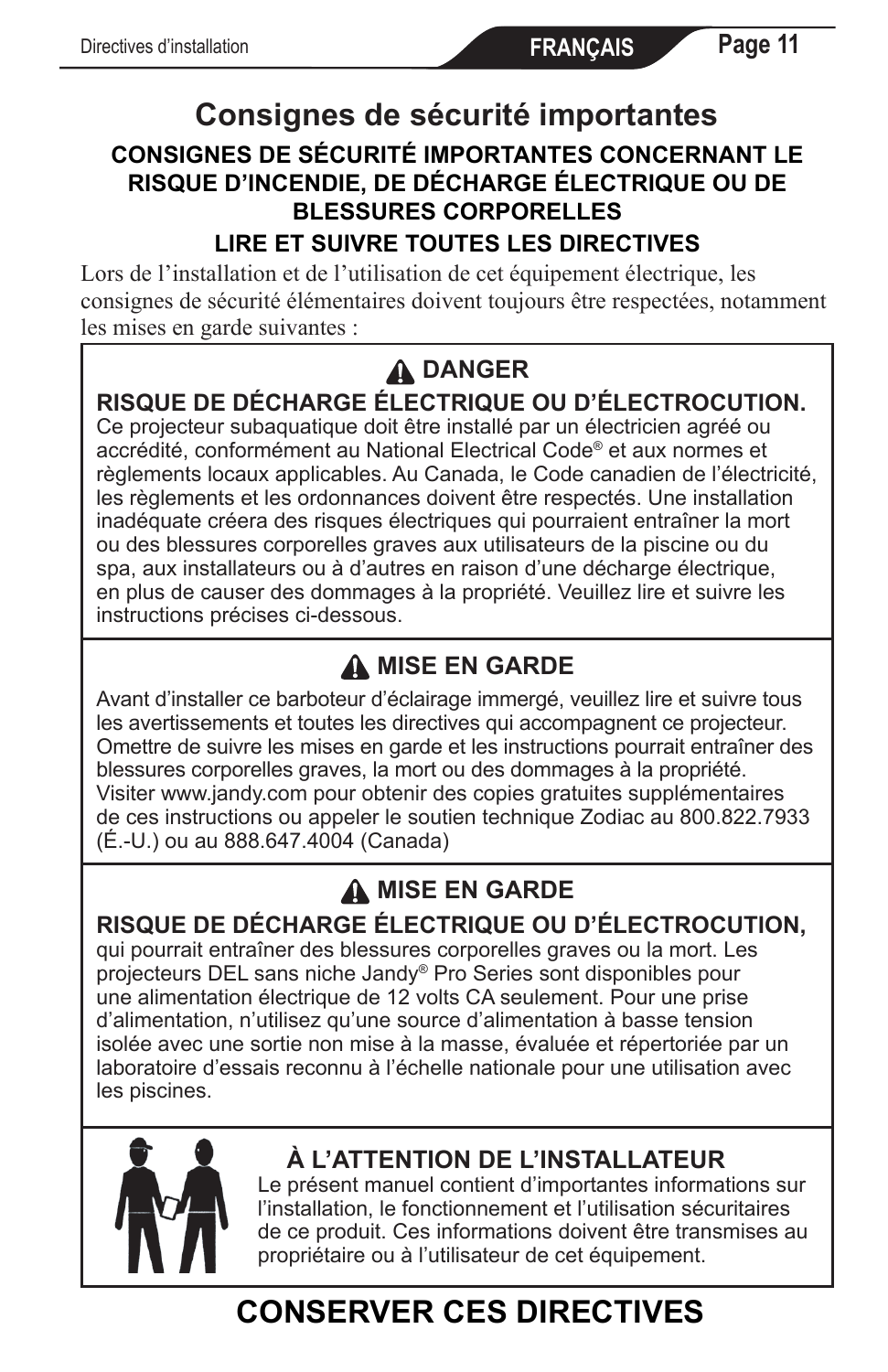### **Consignes de sécurité importantes CONSIGNES DE SÉCURITÉ IMPORTANTES CONCERNANT LE RISQUE D'INCENDIE, DE DÉCHARGE ÉLECTRIQUE OU DE BLESSURES CORPORELLES**

#### **LIRE ET SUIVRE TOUTES LES DIRECTIVES**

Lors de l'installation et de l'utilisation de cet équipement électrique, les consignes de sécurité élémentaires doivent toujours être respectées, notamment les mises en garde suivantes :

## **DANGER**

### **RISQUE DE DÉCHARGE ÉLECTRIQUE OU D'ÉLECTROCUTION.**

Ce projecteur subaquatique doit être installé par un électricien agréé ou accrédité, conformément au National Electrical Code® et aux normes et règlements locaux applicables. Au Canada, le Code canadien de l'électricité, les règlements et les ordonnances doivent être respectés. Une installation inadéquate créera des risques électriques qui pourraient entraîner la mort ou des blessures corporelles graves aux utilisateurs de la piscine ou du spa, aux installateurs ou à d'autres en raison d'une décharge électrique, en plus de causer des dommages à la propriété. Veuillez lire et suivre les instructions précises ci-dessous.

### **A MISE EN GARDE**

Avant d'installer ce barboteur d'éclairage immergé, veuillez lire et suivre tous les avertissements et toutes les directives qui accompagnent ce projecteur. Omettre de suivre les mises en garde et les instructions pourrait entraîner des blessures corporelles graves, la mort ou des dommages à la propriété. Visiter www.jandy.com pour obtenir des copies gratuites supplémentaires de ces instructions ou appeler le soutien technique Zodiac au 800.822.7933 (É.-U.) ou au 888.647.4004 (Canada)

### **A MISE EN GARDE**

#### **RISQUE DE DÉCHARGE ÉLECTRIQUE OU D'ÉLECTROCUTION,**

qui pourrait entraîner des blessures corporelles graves ou la mort. Les projecteurs DEL sans niche Jandy® Pro Series sont disponibles pour une alimentation électrique de 12 volts CA seulement. Pour une prise d'alimentation, n'utilisez qu'une source d'alimentation à basse tension isolée avec une sortie non mise à la masse, évaluée et répertoriée par un laboratoire d'essais reconnu à l'échelle nationale pour une utilisation avec les piscines.



### **À L'ATTENTION DE L'INSTALLATEUR**

Le présent manuel contient d'importantes informations sur l'installation, le fonctionnement et l'utilisation sécuritaires de ce produit. Ces informations doivent être transmises au propriétaire ou à l'utilisateur de cet équipement.

# **CONSERVER CES DIRECTIVES**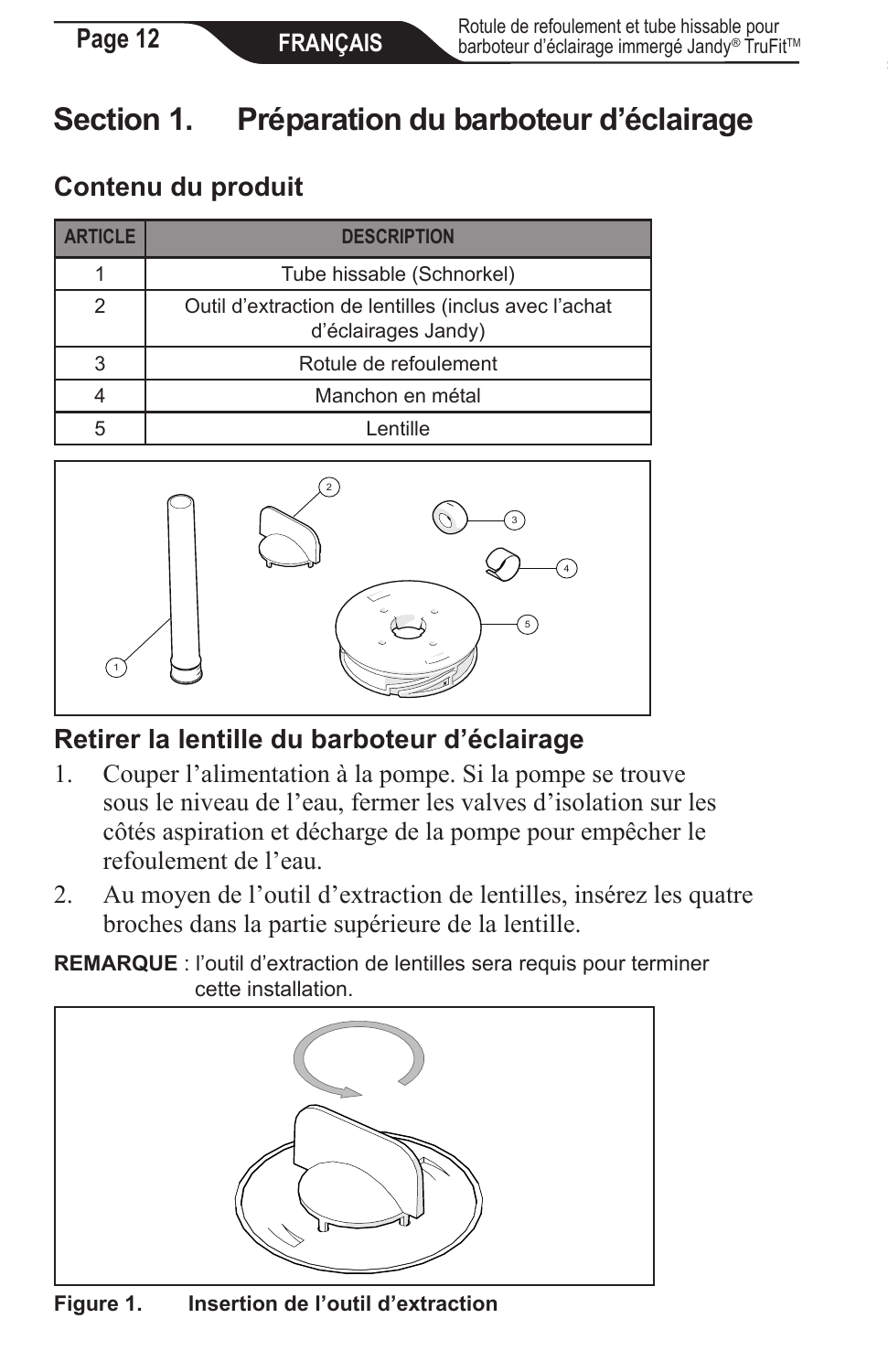# **Section 1. Préparation du barboteur d'éclairage**

### **Contenu du produit**

| <b>ARTICLE</b> | <b>DESCRIPTION</b>                                                          |
|----------------|-----------------------------------------------------------------------------|
|                | Tube hissable (Schnorkel)                                                   |
| $\mathcal{P}$  | Outil d'extraction de lentilles (inclus avec l'achat<br>d'éclairages Jandy) |
| 3              | Rotule de refoulement                                                       |
|                | Manchon en métal                                                            |
|                | I entille                                                                   |



### **Retirer la lentille du barboteur d'éclairage**

- 1. Couper l'alimentation à la pompe. Si la pompe se trouve sous le niveau de l'eau, fermer les valves d'isolation sur les côtés aspiration et décharge de la pompe pour empêcher le refoulement de l'eau.
- 2. Au moyen de l'outil d'extraction de lentilles, insérez les quatre broches dans la partie supérieure de la lentille.

**REMARQUE** : l'outil d'extraction de lentilles sera requis pour terminer cette installation.



**Figure 1. Insertion de l'outil d'extraction**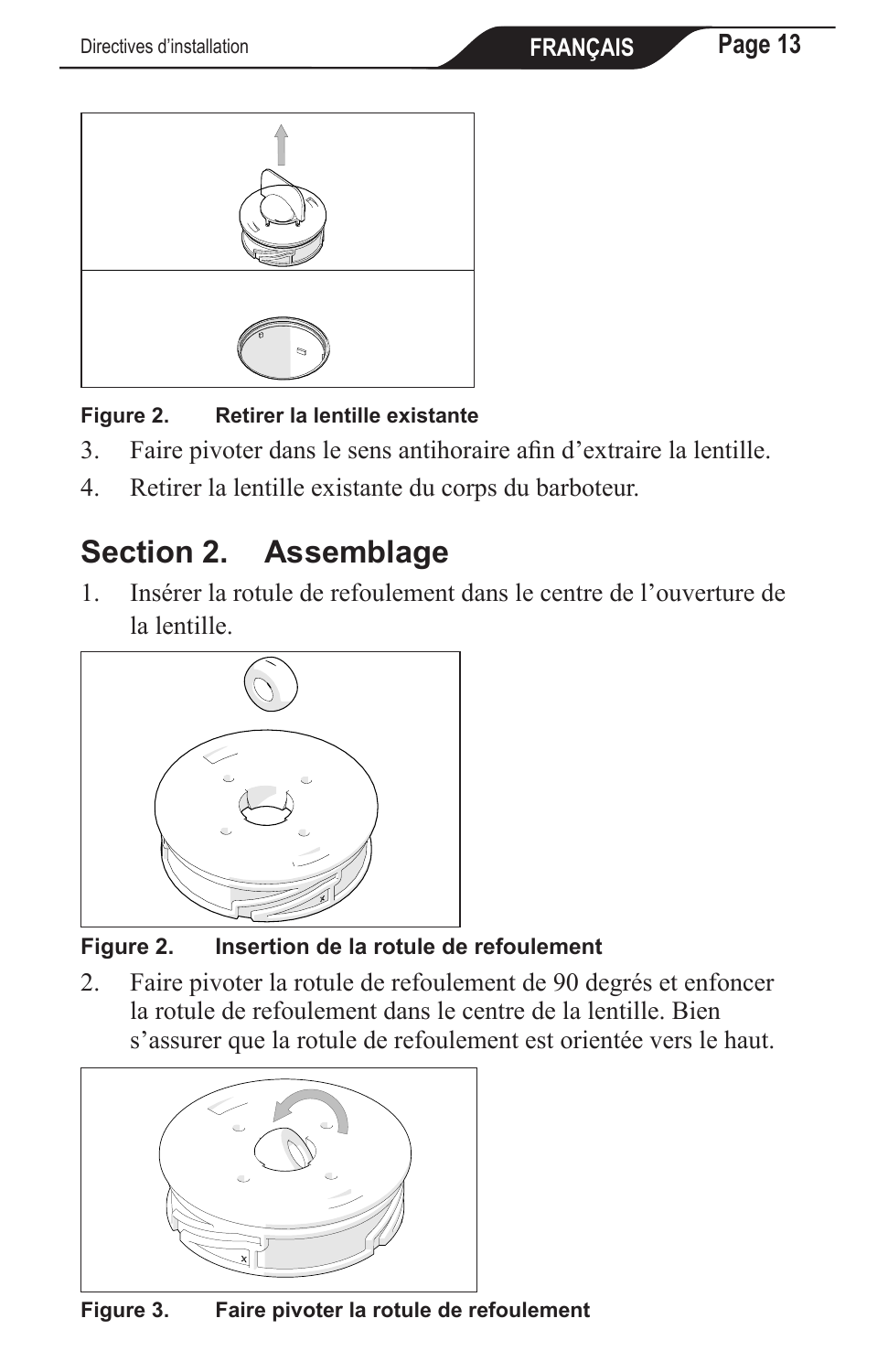

#### **Figure 2. Retirer la lentille existante**

- 3. Faire pivoter dans le sens antihoraire afin d'extraire la lentille.
- 4. Retirer la lentille existante du corps du barboteur.

# **Section 2. Assemblage**

1. Insérer la rotule de refoulement dans le centre de l'ouverture de la lentille.



#### **Figure 2. Insertion de la rotule de refoulement**

2. Faire pivoter la rotule de refoulement de 90 degrés et enfoncer la rotule de refoulement dans le centre de la lentille. Bien s'assurer que la rotule de refoulement est orientée vers le haut.



**Figure 3. Faire pivoter la rotule de refoulement**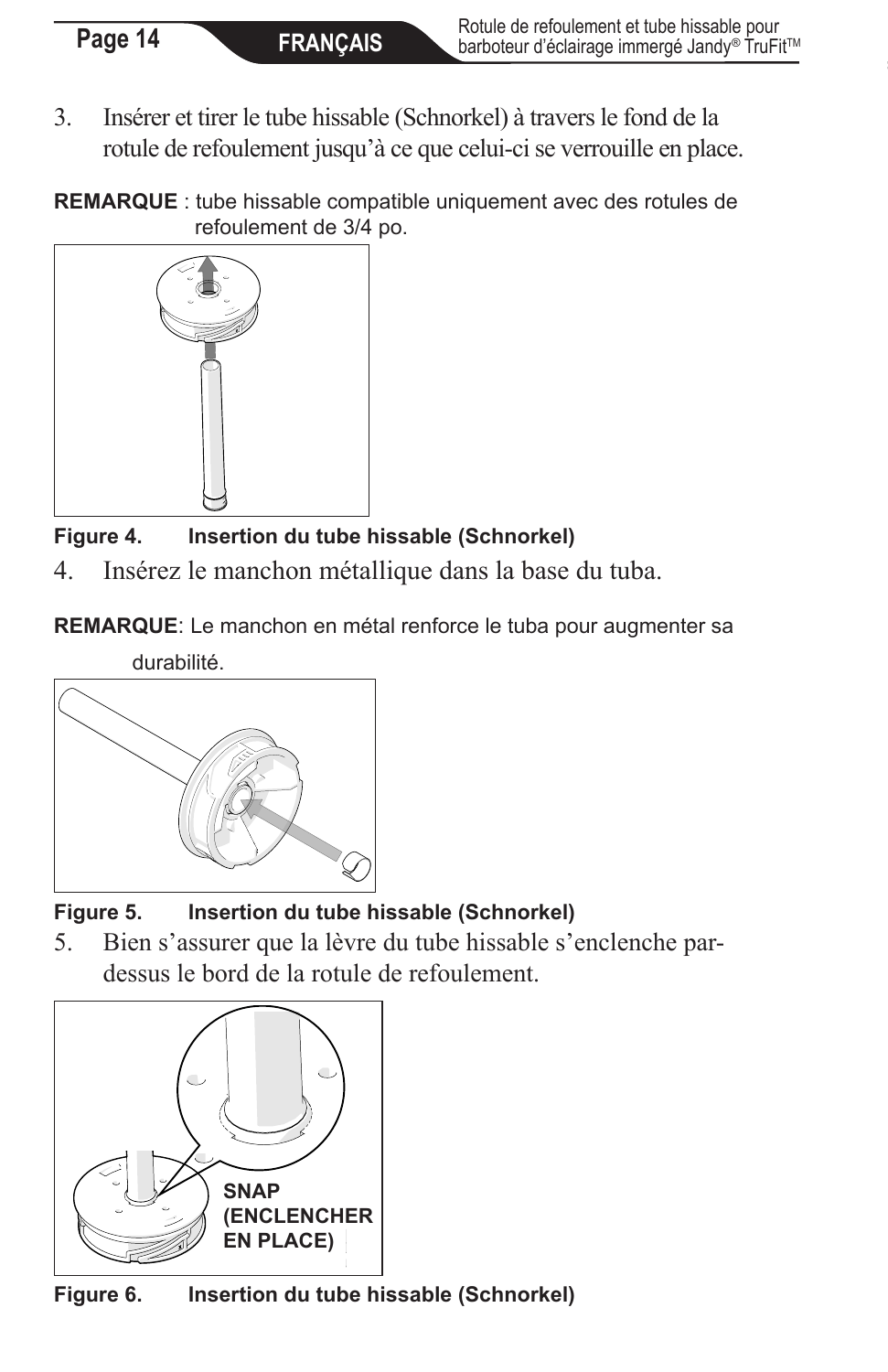3. Insérer et tirer le tube hissable (Schnorkel) à travers le fond de la rotule de refoulement jusqu'à ce que celui-ci se verrouille en place.

**REMARQUE** : tube hissable compatible uniquement avec des rotules de refoulement de 3/4 po.



**Figure 4. Insertion du tube hissable (Schnorkel)**

4. Insérez le manchon métallique dans la base du tuba.

**REMARQUE**: Le manchon en métal renforce le tuba pour augmenter sa





**Figure 5. Insertion du tube hissable (Schnorkel)**

5. Bien s'assurer que la lèvre du tube hissable s'enclenche pardessus le bord de la rotule de refoulement.



**Figure 6. Insertion du tube hissable (Schnorkel)**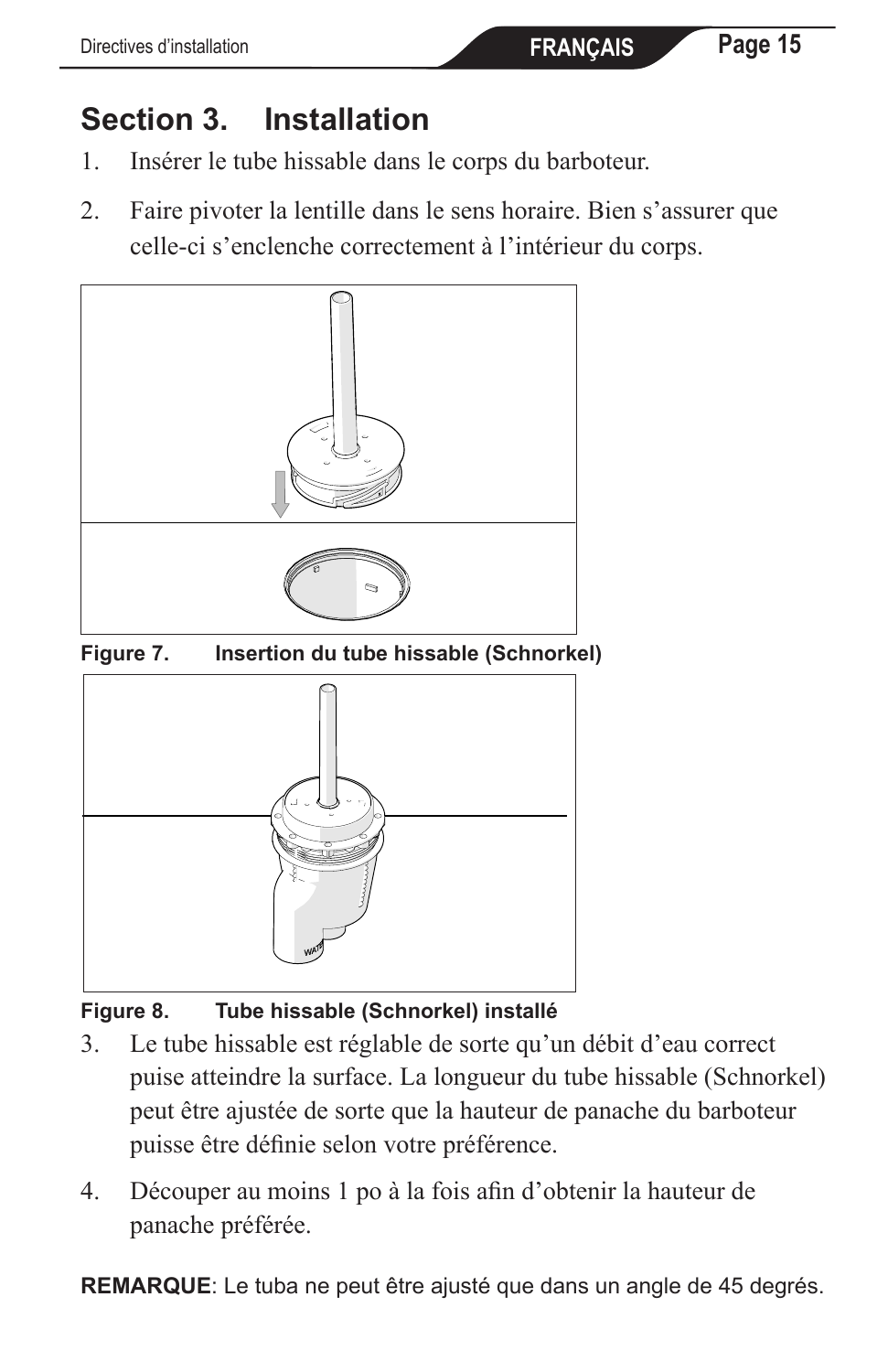# **Section 3. Installation**

- 1. Insérer le tube hissable dans le corps du barboteur.
- 2. Faire pivoter la lentille dans le sens horaire. Bien s'assurer que celle-ci s'enclenche correctement à l'intérieur du corps.



**Figure 7. Insertion du tube hissable (Schnorkel)**



**Figure 8. Tube hissable (Schnorkel) installé**

- 3. Le tube hissable est réglable de sorte qu'un débit d'eau correct puise atteindre la surface. La longueur du tube hissable (Schnorkel) peut être ajustée de sorte que la hauteur de panache du barboteur puisse être définie selon votre préférence.
- 4. Découper au moins 1 po à la fois afin d'obtenir la hauteur de panache préférée.

**REMARQUE**: Le tuba ne peut être ajusté que dans un angle de 45 degrés.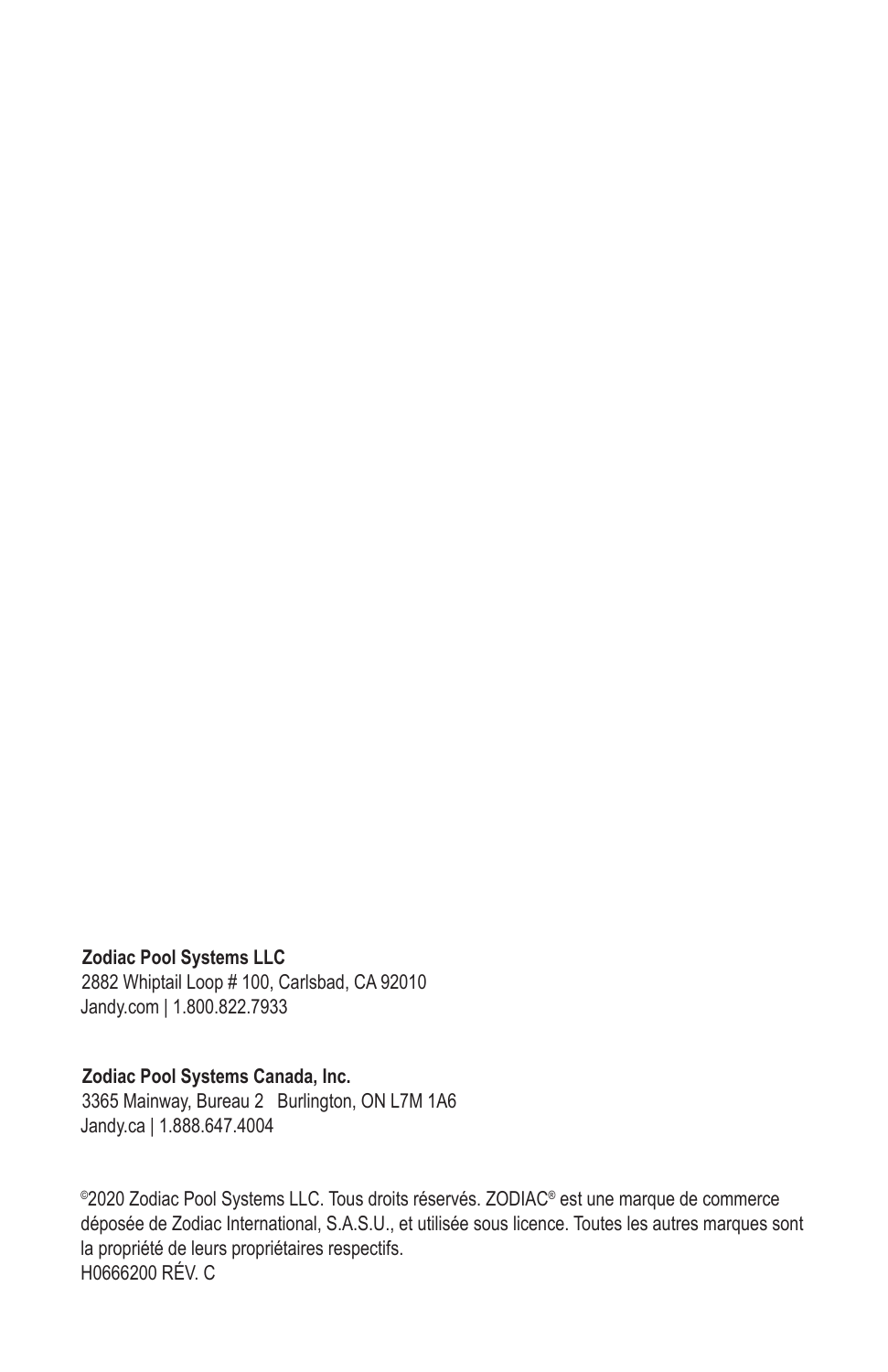#### **Zodiac Pool Systems LLC**

2882 Whiptail Loop # 100, Carlsbad, CA 92010 Jandy.com | 1.800.822.7933

#### **Zodiac Pool Systems Canada, Inc.**

3365 Mainway, Bureau 2 Burlington, ON L7M 1A6 Jandy.ca | 1.888.647.4004

©2020 Zodiac Pool Systems LLC. Tous droits réservés. ZODIAC® est une marque de commerce déposée de Zodiac International, S.A.S.U., et utilisée sous licence. Toutes les autres marques sont la propriété de leurs propriétaires respectifs. H0666200 RÉV. C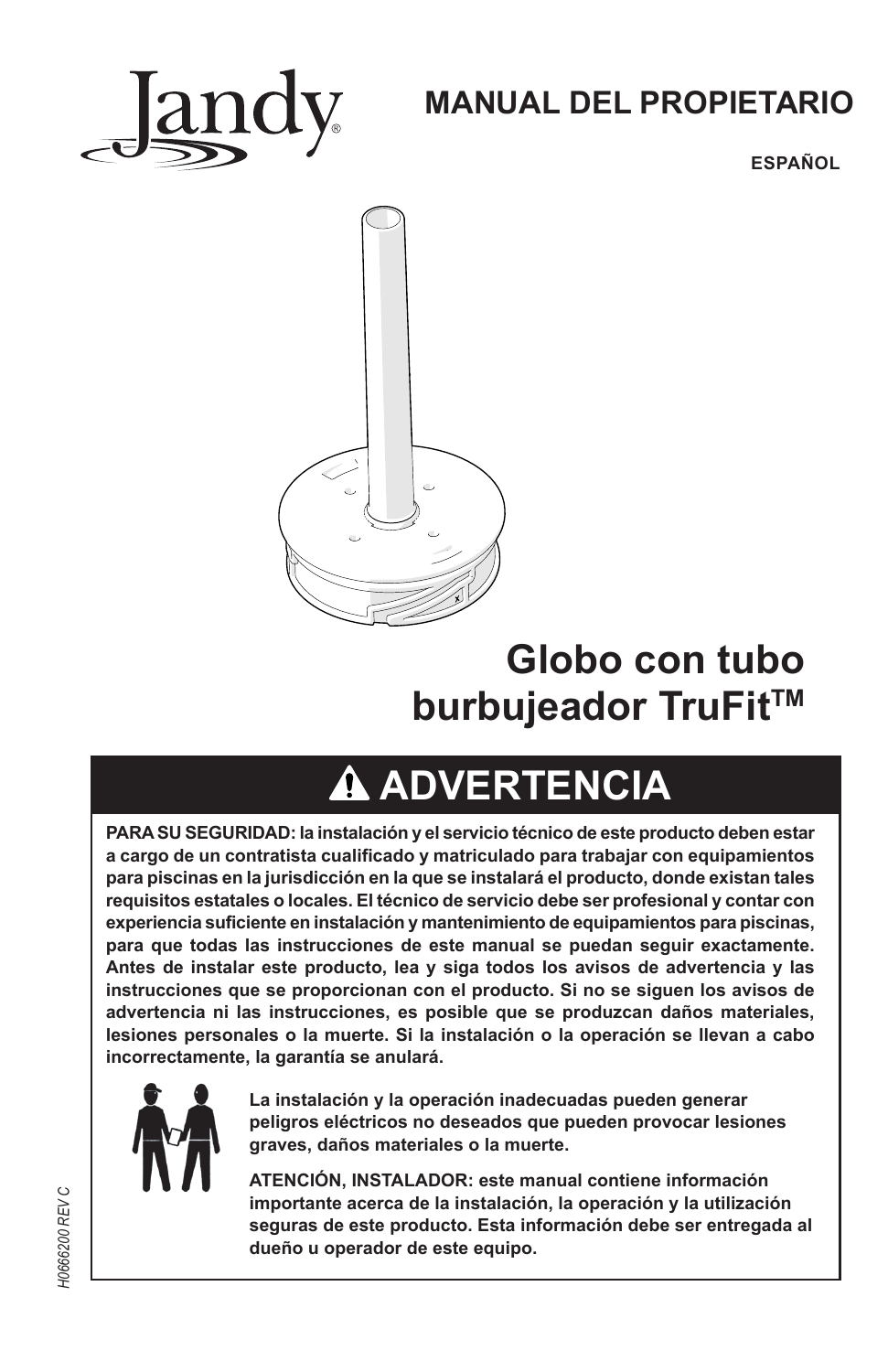

## **MANUAL DEL PROPIETARIO**

**ESPAÑOL**



# **Globo con tubo burbujeador TruFit™**

# **ADVERTENCIA**

**PARA SU SEGURIDAD: la instalación y el servicio técnico de este producto deben estar a cargo de un contratista cualificado y matriculado para trabajar con equipamientos para piscinas en la jurisdicción en la que se instalará el producto, donde existan tales requisitos estatales o locales. El técnico de servicio debe ser profesional y contar con experiencia suficiente en instalación y mantenimiento de equipamientos para piscinas, para que todas las instrucciones de este manual se puedan seguir exactamente. Antes de instalar este producto, lea y siga todos los avisos de advertencia y las instrucciones que se proporcionan con el producto. Si no se siguen los avisos de advertencia ni las instrucciones, es posible que se produzcan daños materiales, lesiones personales o la muerte. Si la instalación o la operación se llevan a cabo incorrectamente, la garantía se anulará.**



**La instalación y la operación inadecuadas pueden generar peligros eléctricos no deseados que pueden provocar lesiones graves, daños materiales o la muerte.** 

**ATENCIÓN, INSTALADOR: este manual contiene información importante acerca de la instalación, la operación y la utilización seguras de este producto. Esta información debe ser entregada al dueño u operador de este equipo.**

**10666200 REV C** *H0666200 REV C*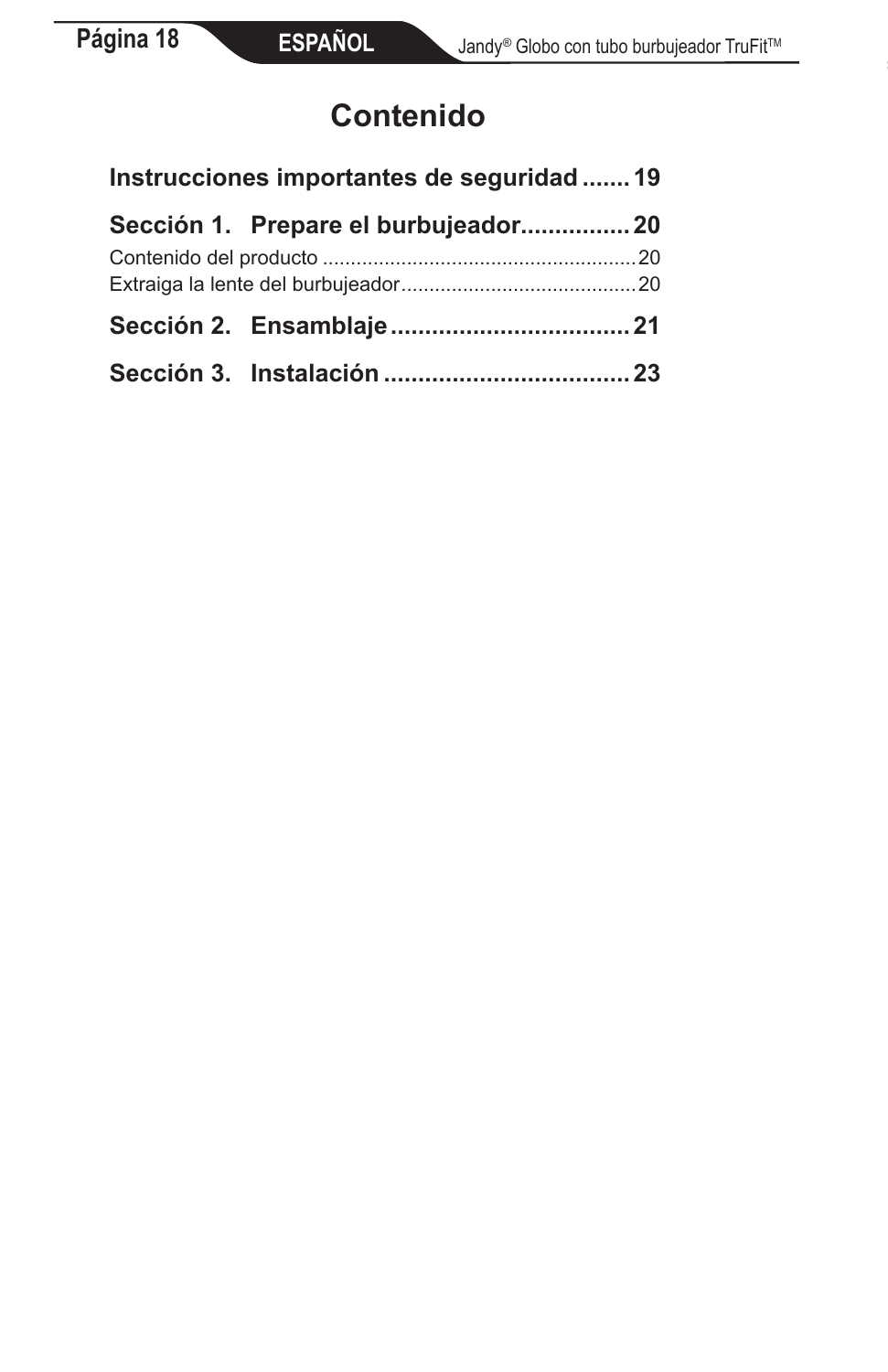# **Contenido**

| Instrucciones importantes de seguridad  19 |  |
|--------------------------------------------|--|
| Sección 1. Prepare el burbujeador20        |  |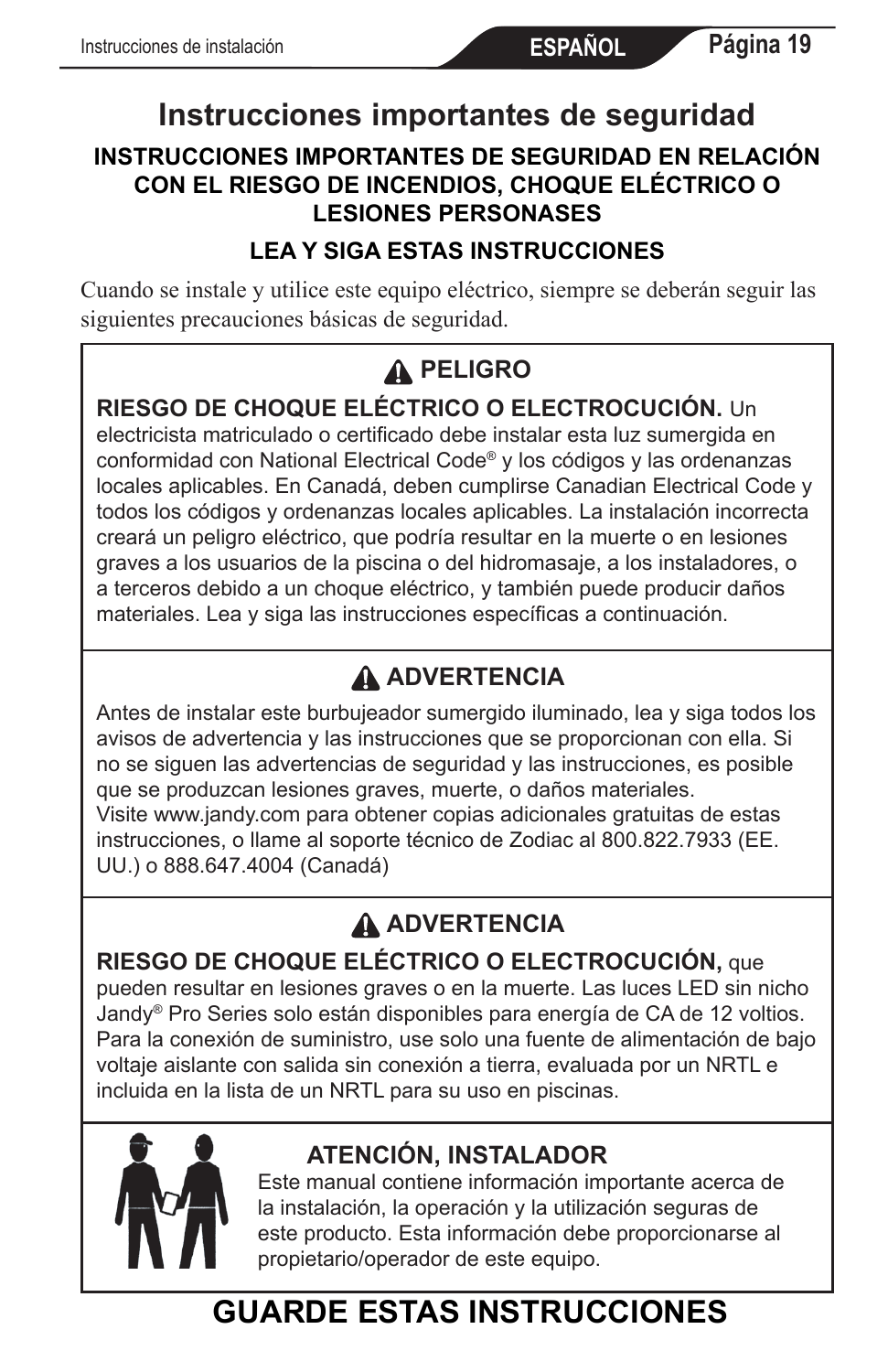# **Instrucciones importantes de seguridad**

#### **INSTRUCCIONES IMPORTANTES DE SEGURIDAD EN RELACIÓN CON EL RIESGO DE INCENDIOS, CHOQUE ELÉCTRICO O LESIONES PERSONASES**

#### **LEA Y SIGA ESTAS INSTRUCCIONES**

Cuando se instale y utilice este equipo eléctrico, siempre se deberán seguir las siguientes precauciones básicas de seguridad.

### **PELIGRO**

#### **RIESGO DE CHOQUE ELÉCTRICO O ELECTROCUCIÓN.** Un

electricista matriculado o certificado debe instalar esta luz sumergida en conformidad con National Electrical Code® y los códigos y las ordenanzas locales aplicables. En Canadá, deben cumplirse Canadian Electrical Code y todos los códigos y ordenanzas locales aplicables. La instalación incorrecta creará un peligro eléctrico, que podría resultar en la muerte o en lesiones graves a los usuarios de la piscina o del hidromasaje, a los instaladores, o a terceros debido a un choque eléctrico, y también puede producir daños materiales. Lea y siga las instrucciones específicas a continuación.

## **ADVERTENCIA**

Antes de instalar este burbujeador sumergido iluminado, lea y siga todos los avisos de advertencia y las instrucciones que se proporcionan con ella. Si no se siguen las advertencias de seguridad y las instrucciones, es posible que se produzcan lesiones graves, muerte, o daños materiales. Visite www.jandy.com para obtener copias adicionales gratuitas de estas instrucciones, o llame al soporte técnico de Zodiac al 800.822.7933 (EE. UU.) o 888.647.4004 (Canadá)

## **ADVERTENCIA**

**RIESGO DE CHOQUE ELÉCTRICO O ELECTROCUCIÓN,** que pueden resultar en lesiones graves o en la muerte. Las luces LED sin nicho Jandy® Pro Series solo están disponibles para energía de CA de 12 voltios. Para la conexión de suministro, use solo una fuente de alimentación de bajo voltaje aislante con salida sin conexión a tierra, evaluada por un NRTL e incluida en la lista de un NRTL para su uso en piscinas.



### **ATENCIÓN, INSTALADOR**

Este manual contiene información importante acerca de la instalación, la operación y la utilización seguras de este producto. Esta información debe proporcionarse al propietario/operador de este equipo.

# **GUARDE ESTAS INSTRUCCIONES**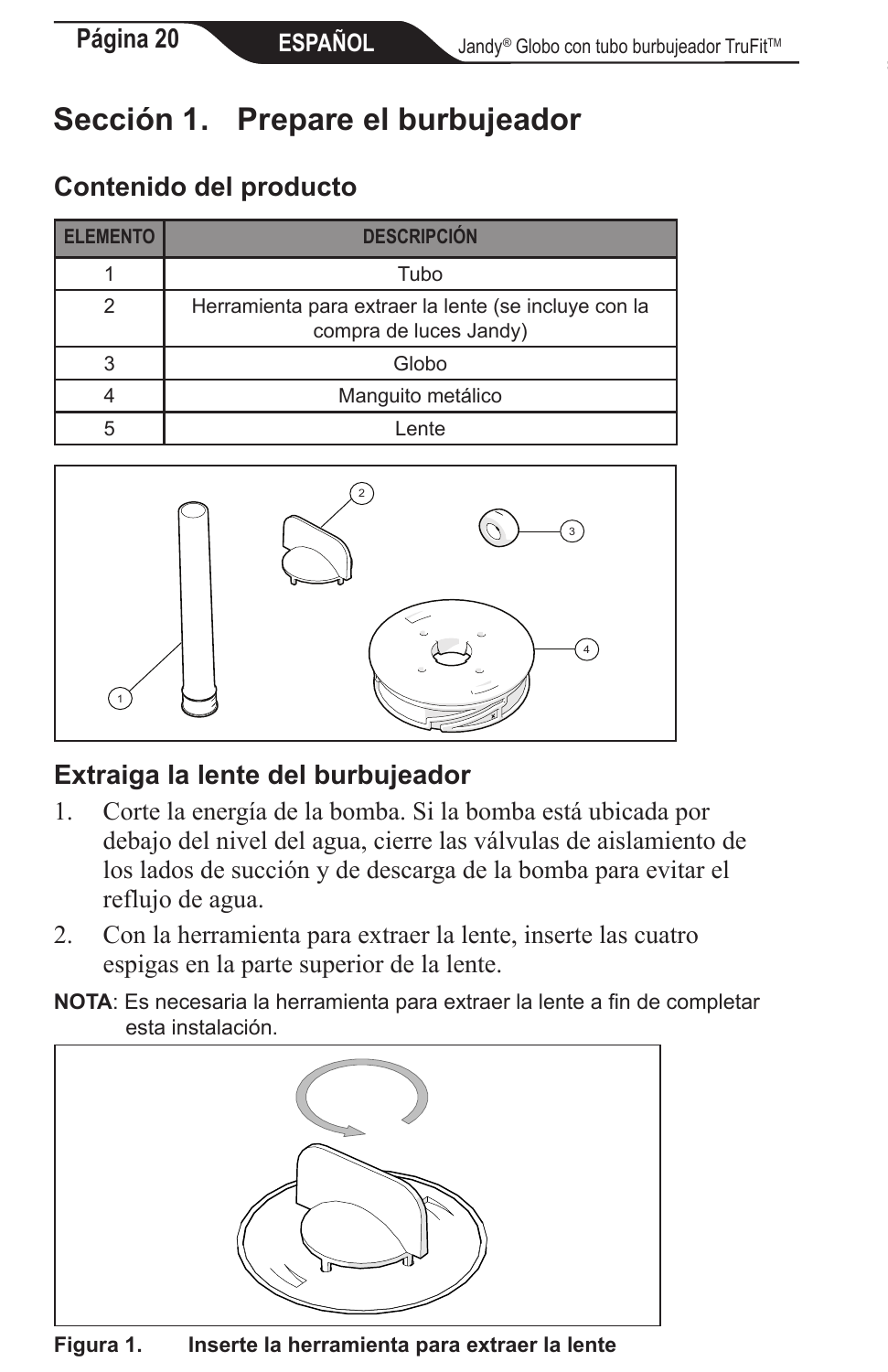# **Sección 1. Prepare el burbujeador**

### **Contenido del producto**

| <b>FI FMFNTO</b> | <b>DESCRIPCIÓN</b>                                                             |
|------------------|--------------------------------------------------------------------------------|
|                  | Tubo                                                                           |
|                  | Herramienta para extraer la lente (se incluye con la<br>compra de luces Jandy) |
|                  | Globo                                                                          |
|                  | Manguito metálico                                                              |
|                  | ente                                                                           |



### **Extraiga la lente del burbujeador**

- 1. Corte la energía de la bomba. Si la bomba está ubicada por debajo del nivel del agua, cierre las válvulas de aislamiento de los lados de succión y de descarga de la bomba para evitar el reflujo de agua.
- 2. Con la herramienta para extraer la lente, inserte las cuatro espigas en la parte superior de la lente.
- **NOTA**: Es necesaria la herramienta para extraer la lente a fin de completar esta instalación.



**Figura 1. Inserte la herramienta para extraer la lente**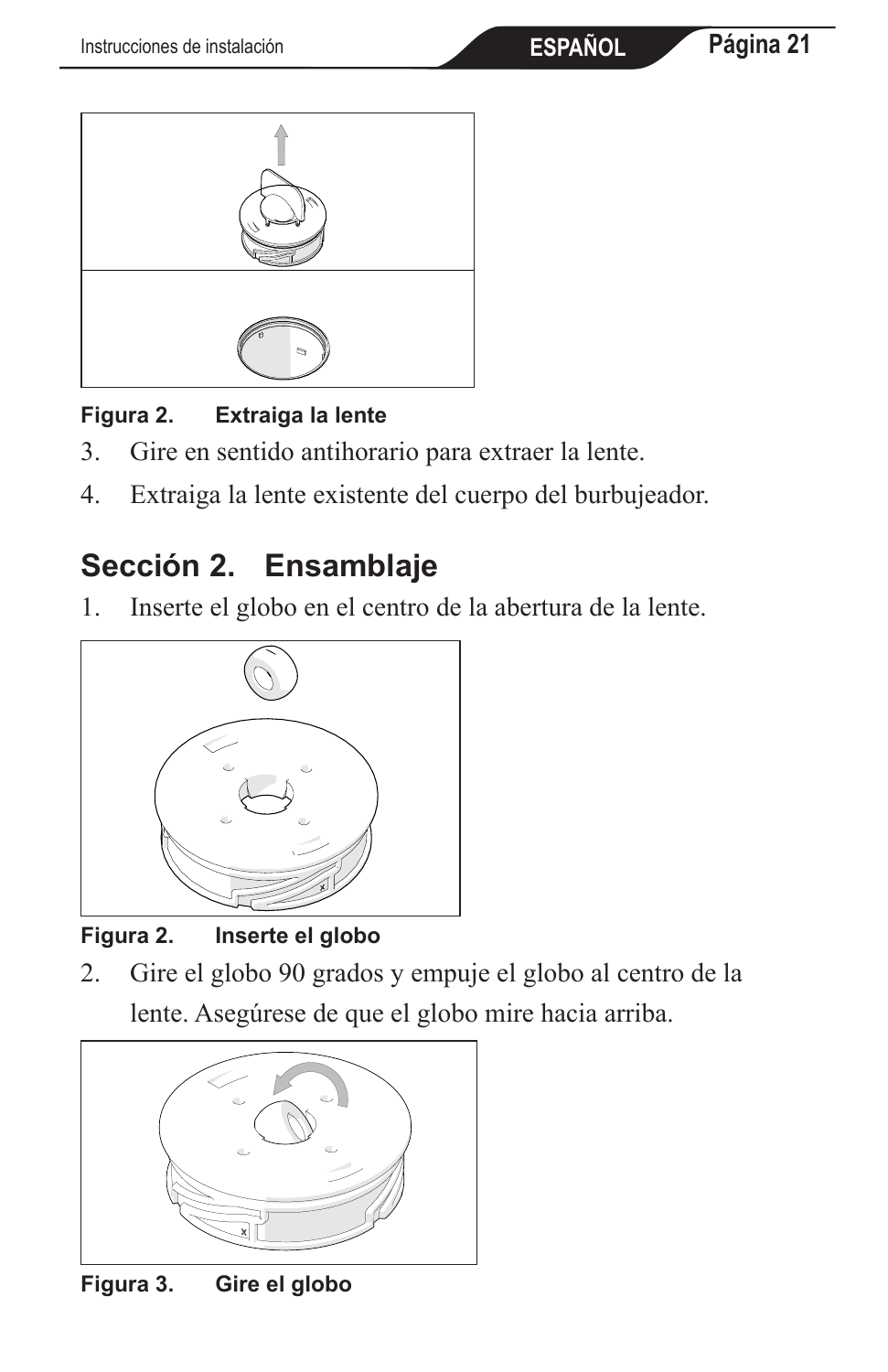

#### **Figura 2. Extraiga la lente**

- 3. Gire en sentido antihorario para extraer la lente.
- 4. Extraiga la lente existente del cuerpo del burbujeador.

# **Sección 2. Ensamblaje**

1. Inserte el globo en el centro de la abertura de la lente.



**Figura 2. Inserte el globo**

2. Gire el globo 90 grados y empuje el globo al centro de la lente. Asegúrese de que el globo mire hacia arriba.



**Figura 3. Gire el globo**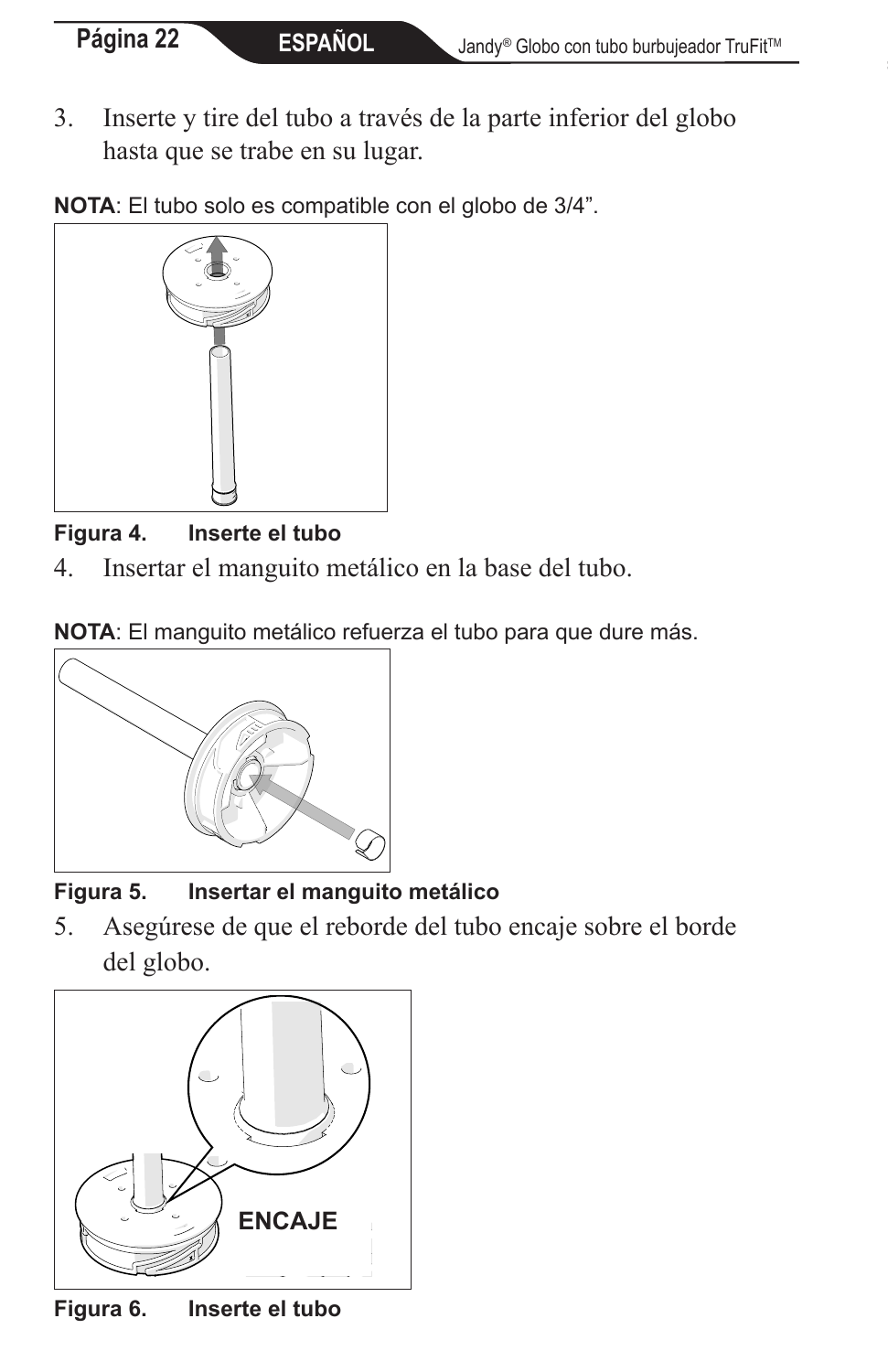- 3. Inserte y tire del tubo a través de la parte inferior del globo hasta que se trabe en su lugar.
- **NOTA**: El tubo solo es compatible con el globo de 3/4".



#### **Figura 4. Inserte el tubo**

4. Insertar el manguito metálico en la base del tubo.





**Figura 5. Insertar el manguito metálico**

5. Asegúrese de que el reborde del tubo encaje sobre el borde del globo.



**Figura 6. Inserte el tubo**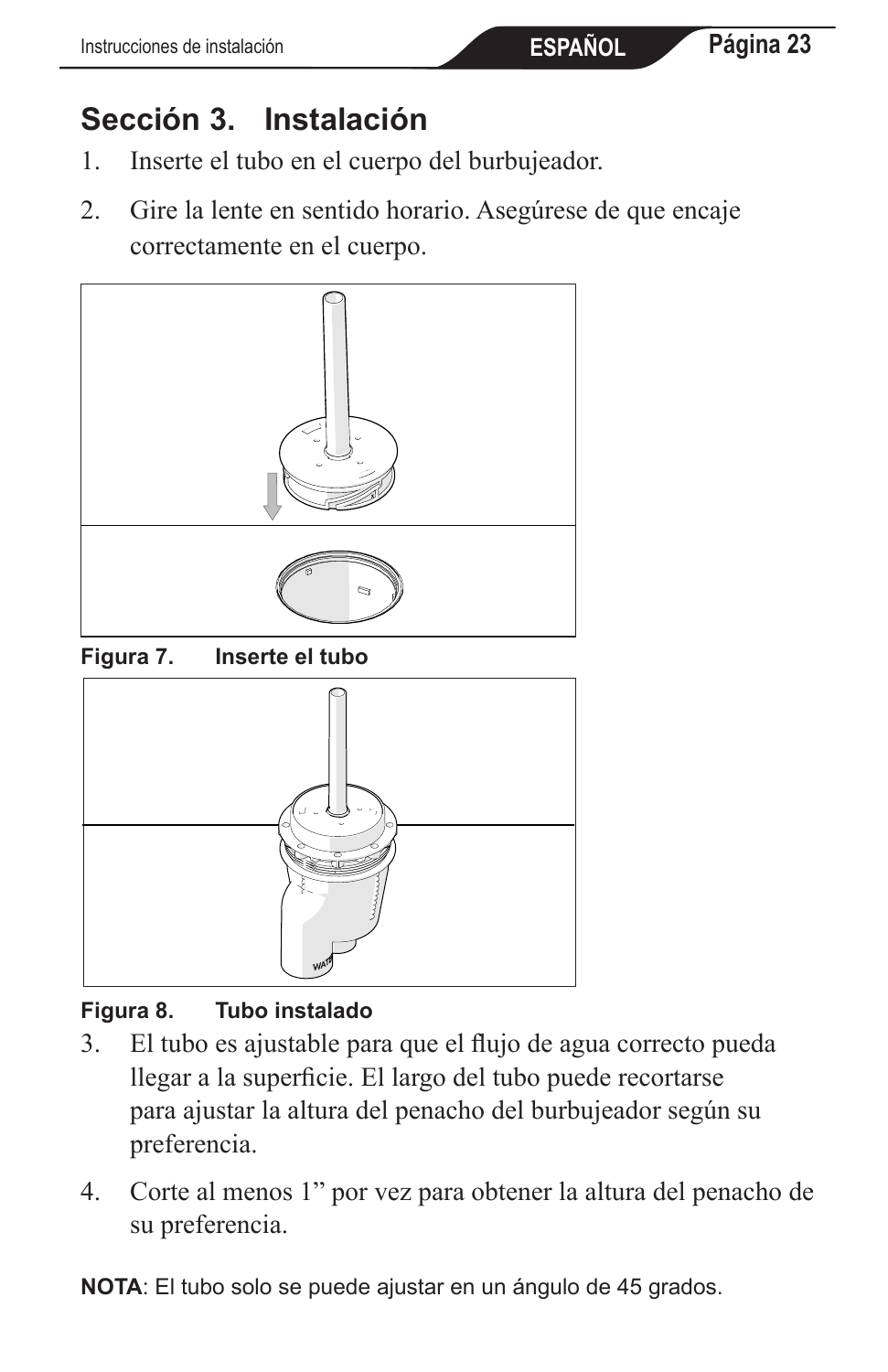# **Sección 3. Instalación**

- 1. Inserte el tubo en el cuerpo del burbujeador.
- 2. Gire la lente en sentido horario. Asegúrese de que encaje correctamente en el cuerpo.



**Figura 7. Inserte el tubo**



#### **Figura 8. Tubo instalado**

- 3. El tubo es ajustable para que el flujo de agua correcto pueda llegar a la superficie. El largo del tubo puede recortarse para ajustar la altura del penacho del burbujeador según su preferencia.
- 4. Corte al menos 1" por vez para obtener la altura del penacho de su preferencia.

**NOTA**: El tubo solo se puede ajustar en un ángulo de 45 grados.